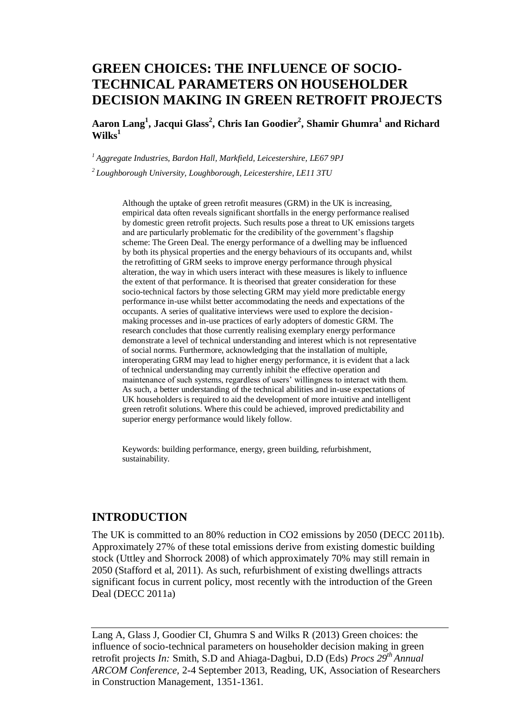# **GREEN CHOICES: THE INFLUENCE OF SOCIO-TECHNICAL PARAMETERS ON HOUSEHOLDER DECISION MAKING IN GREEN RETROFIT PROJECTS**

**Aaron Lang<sup>1</sup> , Jacqui Glass<sup>2</sup> , Chris Ian Goodier<sup>2</sup> , Shamir Ghumra<sup>1</sup> and Richard Wilks<sup>1</sup>**

*<sup>1</sup>Aggregate Industries, Bardon Hall, Markfield, Leicestershire, LE67 9PJ*

*<sup>2</sup>Loughborough University, Loughborough, Leicestershire, LE11 3TU*

Although the uptake of green retrofit measures (GRM) in the UK is increasing, empirical data often reveals significant shortfalls in the energy performance realised by domestic green retrofit projects. Such results pose a threat to UK emissions targets and are particularly problematic for the credibility of the government's flagship scheme: The Green Deal. The energy performance of a dwelling may be influenced by both its physical properties and the energy behaviours of its occupants and, whilst the retrofitting of GRM seeks to improve energy performance through physical alteration, the way in which users interact with these measures is likely to influence the extent of that performance. It is theorised that greater consideration for these socio-technical factors by those selecting GRM may yield more predictable energy performance in-use whilst better accommodating the needs and expectations of the occupants. A series of qualitative interviews were used to explore the decisionmaking processes and in-use practices of early adopters of domestic GRM. The research concludes that those currently realising exemplary energy performance demonstrate a level of technical understanding and interest which is not representative of social norms. Furthermore, acknowledging that the installation of multiple, interoperating GRM may lead to higher energy performance, it is evident that a lack of technical understanding may currently inhibit the effective operation and maintenance of such systems, regardless of users' willingness to interact with them. As such, a better understanding of the technical abilities and in-use expectations of UK householders is required to aid the development of more intuitive and intelligent green retrofit solutions. Where this could be achieved, improved predictability and superior energy performance would likely follow.

Keywords: building performance, energy, green building, refurbishment, sustainability.

#### **INTRODUCTION**

The UK is committed to an 80% reduction in CO2 emissions by 2050 (DECC 2011b). Approximately 27% of these total emissions derive from existing domestic building stock (Uttley and Shorrock 2008) of which approximately 70% may still remain in 2050 (Stafford et al, 2011). As such, refurbishment of existing dwellings attracts significant focus in current policy, most recently with the introduction of the Green Deal (DECC 2011a)

Lang A, Glass J, Goodier CI, Ghumra S and Wilks R (2013) Green choices: the influence of socio-technical parameters on householder decision making in green retrofit projects *In:* Smith, S.D and Ahiaga-Dagbui, D.D (Eds) *Procs 29th Annual ARCOM Conference,* 2-4 September 2013, Reading, UK, Association of Researchers in Construction Management, 1351[-1361.](#page-10-0)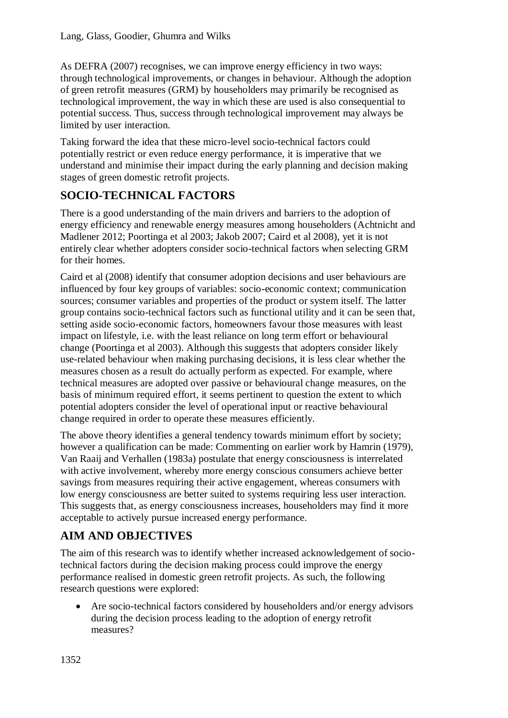As DEFRA (2007) recognises, we can improve energy efficiency in two ways: through technological improvements, or changes in behaviour. Although the adoption of green retrofit measures (GRM) by householders may primarily be recognised as technological improvement, the way in which these are used is also consequential to potential success. Thus, success through technological improvement may always be limited by user interaction.

Taking forward the idea that these micro-level socio-technical factors could potentially restrict or even reduce energy performance, it is imperative that we understand and minimise their impact during the early planning and decision making stages of green domestic retrofit projects.

# **SOCIO-TECHNICAL FACTORS**

There is a good understanding of the main drivers and barriers to the adoption of energy efficiency and renewable energy measures among householders (Achtnicht and Madlener 2012; Poortinga et al 2003; Jakob 2007; Caird et al 2008), yet it is not entirely clear whether adopters consider socio-technical factors when selecting GRM for their homes.

Caird et al (2008) identify that consumer adoption decisions and user behaviours are influenced by four key groups of variables: socio-economic context; communication sources; consumer variables and properties of the product or system itself. The latter group contains socio-technical factors such as functional utility and it can be seen that, setting aside socio-economic factors, homeowners favour those measures with least impact on lifestyle, i.e. with the least reliance on long term effort or behavioural change (Poortinga et al 2003). Although this suggests that adopters consider likely use-related behaviour when making purchasing decisions, it is less clear whether the measures chosen as a result do actually perform as expected. For example, where technical measures are adopted over passive or behavioural change measures, on the basis of minimum required effort, it seems pertinent to question the extent to which potential adopters consider the level of operational input or reactive behavioural change required in order to operate these measures efficiently.

The above theory identifies a general tendency towards minimum effort by society; however a qualification can be made: Commenting on earlier work by Hamrin (1979), Van Raaij and Verhallen (1983a) postulate that energy consciousness is interrelated with active involvement, whereby more energy conscious consumers achieve better savings from measures requiring their active engagement, whereas consumers with low energy consciousness are better suited to systems requiring less user interaction. This suggests that, as energy consciousness increases, householders may find it more acceptable to actively pursue increased energy performance.

# **AIM AND OBJECTIVES**

The aim of this research was to identify whether increased acknowledgement of sociotechnical factors during the decision making process could improve the energy performance realised in domestic green retrofit projects. As such, the following research questions were explored:

 Are socio-technical factors considered by householders and/or energy advisors during the decision process leading to the adoption of energy retrofit measures?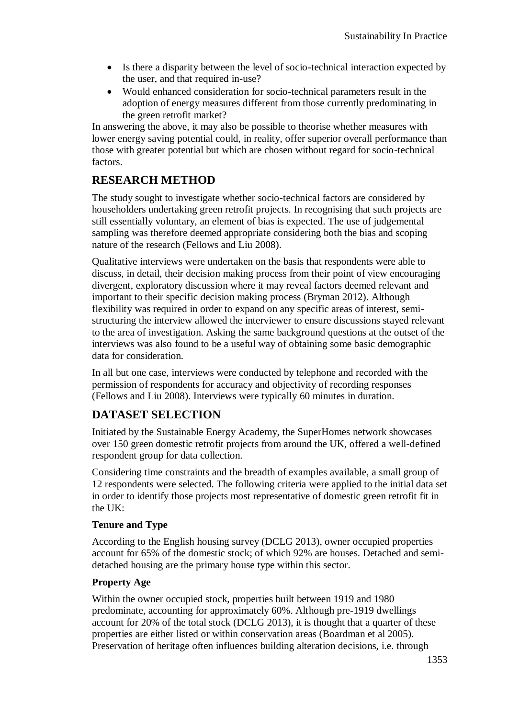- Is there a disparity between the level of socio-technical interaction expected by the user, and that required in-use?
- Would enhanced consideration for socio-technical parameters result in the adoption of energy measures different from those currently predominating in the green retrofit market?

In answering the above, it may also be possible to theorise whether measures with lower energy saving potential could, in reality, offer superior overall performance than those with greater potential but which are chosen without regard for socio-technical factors.

## **RESEARCH METHOD**

The study sought to investigate whether socio-technical factors are considered by householders undertaking green retrofit projects. In recognising that such projects are still essentially voluntary, an element of bias is expected. The use of judgemental sampling was therefore deemed appropriate considering both the bias and scoping nature of the research (Fellows and Liu 2008).

Qualitative interviews were undertaken on the basis that respondents were able to discuss, in detail, their decision making process from their point of view encouraging divergent, exploratory discussion where it may reveal factors deemed relevant and important to their specific decision making process (Bryman 2012). Although flexibility was required in order to expand on any specific areas of interest, semistructuring the interview allowed the interviewer to ensure discussions stayed relevant to the area of investigation. Asking the same background questions at the outset of the interviews was also found to be a useful way of obtaining some basic demographic data for consideration.

In all but one case, interviews were conducted by telephone and recorded with the permission of respondents for accuracy and objectivity of recording responses (Fellows and Liu 2008). Interviews were typically 60 minutes in duration.

# **DATASET SELECTION**

Initiated by the Sustainable Energy Academy, the SuperHomes network showcases over 150 green domestic retrofit projects from around the UK, offered a well-defined respondent group for data collection.

Considering time constraints and the breadth of examples available, a small group of 12 respondents were selected. The following criteria were applied to the initial data set in order to identify those projects most representative of domestic green retrofit fit in the UK:

## **Tenure and Type**

According to the English housing survey (DCLG 2013), owner occupied properties account for 65% of the domestic stock; of which 92% are houses. Detached and semidetached housing are the primary house type within this sector.

## **Property Age**

Within the owner occupied stock, properties built between 1919 and 1980 predominate, accounting for approximately 60%. Although pre-1919 dwellings account for 20% of the total stock (DCLG 2013), it is thought that a quarter of these properties are either listed or within conservation areas (Boardman et al 2005). Preservation of heritage often influences building alteration decisions, i.e. through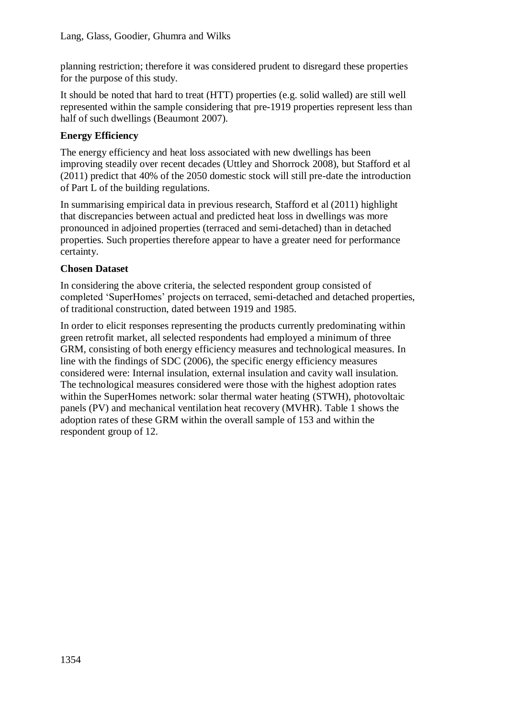planning restriction; therefore it was considered prudent to disregard these properties for the purpose of this study.

It should be noted that hard to treat (HTT) properties (e.g. solid walled) are still well represented within the sample considering that pre-1919 properties represent less than half of such dwellings (Beaumont 2007).

## **Energy Efficiency**

The energy efficiency and heat loss associated with new dwellings has been improving steadily over recent decades (Uttley and Shorrock 2008), but Stafford et al (2011) predict that 40% of the 2050 domestic stock will still pre-date the introduction of Part L of the building regulations.

In summarising empirical data in previous research, Stafford et al (2011) highlight that discrepancies between actual and predicted heat loss in dwellings was more pronounced in adjoined properties (terraced and semi-detached) than in detached properties. Such properties therefore appear to have a greater need for performance certainty.

## **Chosen Dataset**

In considering the above criteria, the selected respondent group consisted of completed 'SuperHomes' projects on terraced, semi-detached and detached properties, of traditional construction, dated between 1919 and 1985.

In order to elicit responses representing the products currently predominating within green retrofit market, all selected respondents had employed a minimum of three GRM, consisting of both energy efficiency measures and technological measures. In line with the findings of SDC (2006), the specific energy efficiency measures considered were: Internal insulation, external insulation and cavity wall insulation. The technological measures considered were those with the highest adoption rates within the SuperHomes network: solar thermal water heating (STWH), photovoltaic panels (PV) and mechanical ventilation heat recovery (MVHR). Table 1 shows the adoption rates of these GRM within the overall sample of 153 and within the respondent group of 12.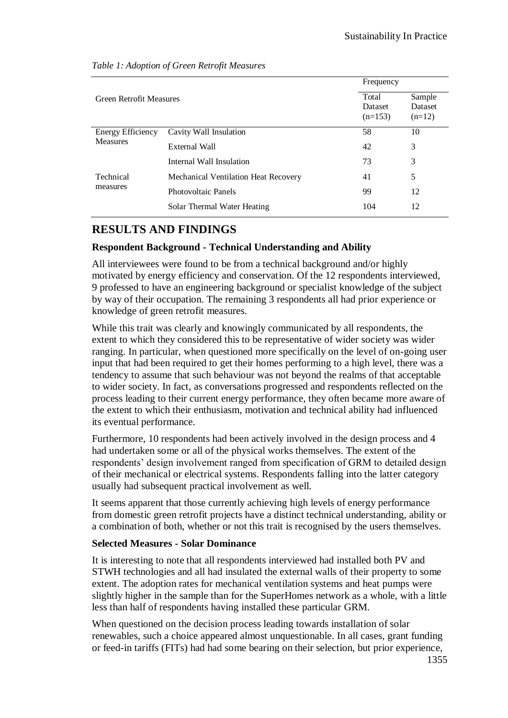| <b>Green Retrofit Measures</b>              |                                      | Frequency                     |                                      |
|---------------------------------------------|--------------------------------------|-------------------------------|--------------------------------------|
|                                             |                                      | Total<br>Dataset<br>$(n=153)$ | Sample<br><b>Dataset</b><br>$(n=12)$ |
| <b>Energy Efficiency</b><br><b>Measures</b> | Cavity Wall Insulation               | 58                            | 10                                   |
|                                             | External Wall                        | 42                            | 3                                    |
|                                             | Internal Wall Insulation             | 73                            | 3                                    |
| Technical<br>measures                       | Mechanical Ventilation Heat Recovery | 41                            | 5                                    |
|                                             | Photovoltaic Panels                  | 99                            | 12                                   |
|                                             | Solar Thermal Water Heating          | 104                           | 12                                   |

#### *Table 1: Adoption of Green Retrofit Measures*

## **RESULTS AND FINDINGS**

#### **Respondent Background - Technical Understanding and Ability**

All interviewees were found to be from a technical background and/or highly motivated by energy efficiency and conservation. Of the 12 respondents interviewed, 9 professed to have an engineering background or specialist knowledge of the subject by way of their occupation. The remaining 3 respondents all had prior experience or knowledge of green retrofit measures.

While this trait was clearly and knowingly communicated by all respondents, the extent to which they considered this to be representative of wider society was wider ranging. In particular, when questioned more specifically on the level of on-going user input that had been required to get their homes performing to a high level, there was a tendency to assume that such behaviour was not beyond the realms of that acceptable to wider society. In fact, as conversations progressed and respondents reflected on the process leading to their current energy performance, they often became more aware of the extent to which their enthusiasm, motivation and technical ability had influenced its eventual performance.

Furthermore, 10 respondents had been actively involved in the design process and 4 had undertaken some or all of the physical works themselves. The extent of the respondents' design involvement ranged from specification of GRM to detailed design of their mechanical or electrical systems. Respondents falling into the latter category usually had subsequent practical involvement as well.

It seems apparent that those currently achieving high levels of energy performance from domestic green retrofit projects have a distinct technical understanding, ability or a combination of both, whether or not this trait is recognised by the users themselves.

#### **Selected Measures - Solar Dominance**

It is interesting to note that all respondents interviewed had installed both PV and STWH technologies and all had insulated the external walls of their property to some extent. The adoption rates for mechanical ventilation systems and heat pumps were slightly higher in the sample than for the SuperHomes network as a whole, with a little less than half of respondents having installed these particular GRM.

When questioned on the decision process leading towards installation of solar renewables, such a choice appeared almost unquestionable. In all cases, grant funding or feed-in tariffs (FITs) had had some bearing on their selection, but prior experience,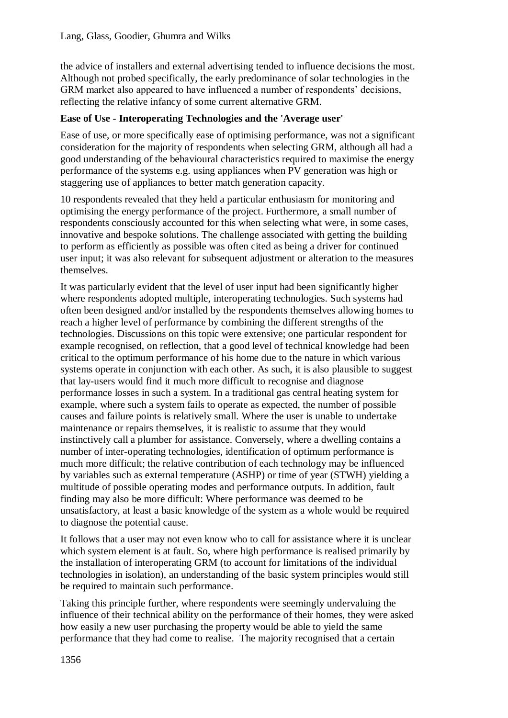the advice of installers and external advertising tended to influence decisions the most. Although not probed specifically, the early predominance of solar technologies in the GRM market also appeared to have influenced a number of respondents' decisions, reflecting the relative infancy of some current alternative GRM.

## **Ease of Use - Interoperating Technologies and the 'Average user'**

Ease of use, or more specifically ease of optimising performance, was not a significant consideration for the majority of respondents when selecting GRM, although all had a good understanding of the behavioural characteristics required to maximise the energy performance of the systems e.g. using appliances when PV generation was high or staggering use of appliances to better match generation capacity.

10 respondents revealed that they held a particular enthusiasm for monitoring and optimising the energy performance of the project. Furthermore, a small number of respondents consciously accounted for this when selecting what were, in some cases, innovative and bespoke solutions. The challenge associated with getting the building to perform as efficiently as possible was often cited as being a driver for continued user input; it was also relevant for subsequent adjustment or alteration to the measures themselves.

It was particularly evident that the level of user input had been significantly higher where respondents adopted multiple, interoperating technologies. Such systems had often been designed and/or installed by the respondents themselves allowing homes to reach a higher level of performance by combining the different strengths of the technologies. Discussions on this topic were extensive; one particular respondent for example recognised, on reflection, that a good level of technical knowledge had been critical to the optimum performance of his home due to the nature in which various systems operate in conjunction with each other. As such, it is also plausible to suggest that lay-users would find it much more difficult to recognise and diagnose performance losses in such a system. In a traditional gas central heating system for example, where such a system fails to operate as expected, the number of possible causes and failure points is relatively small. Where the user is unable to undertake maintenance or repairs themselves, it is realistic to assume that they would instinctively call a plumber for assistance. Conversely, where a dwelling contains a number of inter-operating technologies, identification of optimum performance is much more difficult; the relative contribution of each technology may be influenced by variables such as external temperature (ASHP) or time of year (STWH) yielding a multitude of possible operating modes and performance outputs. In addition, fault finding may also be more difficult: Where performance was deemed to be unsatisfactory, at least a basic knowledge of the system as a whole would be required to diagnose the potential cause.

It follows that a user may not even know who to call for assistance where it is unclear which system element is at fault. So, where high performance is realised primarily by the installation of interoperating GRM (to account for limitations of the individual technologies in isolation), an understanding of the basic system principles would still be required to maintain such performance.

Taking this principle further, where respondents were seemingly undervaluing the influence of their technical ability on the performance of their homes, they were asked how easily a new user purchasing the property would be able to yield the same performance that they had come to realise. The majority recognised that a certain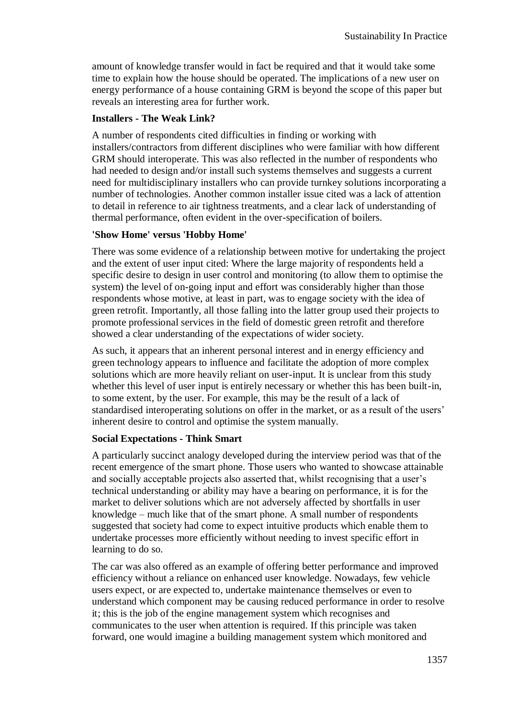amount of knowledge transfer would in fact be required and that it would take some time to explain how the house should be operated. The implications of a new user on energy performance of a house containing GRM is beyond the scope of this paper but reveals an interesting area for further work.

## **Installers - The Weak Link?**

A number of respondents cited difficulties in finding or working with installers/contractors from different disciplines who were familiar with how different GRM should interoperate. This was also reflected in the number of respondents who had needed to design and/or install such systems themselves and suggests a current need for multidisciplinary installers who can provide turnkey solutions incorporating a number of technologies. Another common installer issue cited was a lack of attention to detail in reference to air tightness treatments, and a clear lack of understanding of thermal performance, often evident in the over-specification of boilers.

## **'Show Home' versus 'Hobby Home'**

There was some evidence of a relationship between motive for undertaking the project and the extent of user input cited: Where the large majority of respondents held a specific desire to design in user control and monitoring (to allow them to optimise the system) the level of on-going input and effort was considerably higher than those respondents whose motive, at least in part, was to engage society with the idea of green retrofit. Importantly, all those falling into the latter group used their projects to promote professional services in the field of domestic green retrofit and therefore showed a clear understanding of the expectations of wider society.

As such, it appears that an inherent personal interest and in energy efficiency and green technology appears to influence and facilitate the adoption of more complex solutions which are more heavily reliant on user-input. It is unclear from this study whether this level of user input is entirely necessary or whether this has been built-in, to some extent, by the user. For example, this may be the result of a lack of standardised interoperating solutions on offer in the market, or as a result of the users' inherent desire to control and optimise the system manually.

## **Social Expectations - Think Smart**

A particularly succinct analogy developed during the interview period was that of the recent emergence of the smart phone. Those users who wanted to showcase attainable and socially acceptable projects also asserted that, whilst recognising that a user's technical understanding or ability may have a bearing on performance, it is for the market to deliver solutions which are not adversely affected by shortfalls in user knowledge – much like that of the smart phone. A small number of respondents suggested that society had come to expect intuitive products which enable them to undertake processes more efficiently without needing to invest specific effort in learning to do so.

The car was also offered as an example of offering better performance and improved efficiency without a reliance on enhanced user knowledge. Nowadays, few vehicle users expect, or are expected to, undertake maintenance themselves or even to understand which component may be causing reduced performance in order to resolve it; this is the job of the engine management system which recognises and communicates to the user when attention is required. If this principle was taken forward, one would imagine a building management system which monitored and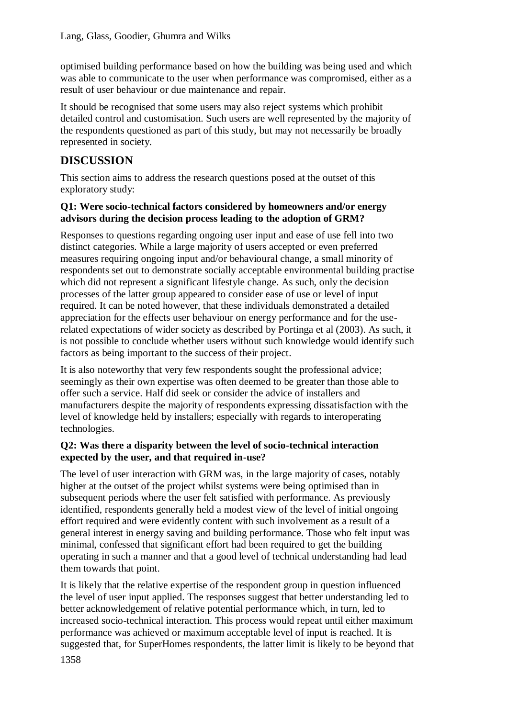optimised building performance based on how the building was being used and which was able to communicate to the user when performance was compromised, either as a result of user behaviour or due maintenance and repair.

It should be recognised that some users may also reject systems which prohibit detailed control and customisation. Such users are well represented by the majority of the respondents questioned as part of this study, but may not necessarily be broadly represented in society.

## **DISCUSSION**

This section aims to address the research questions posed at the outset of this exploratory study:

## **Q1: Were socio-technical factors considered by homeowners and/or energy advisors during the decision process leading to the adoption of GRM?**

Responses to questions regarding ongoing user input and ease of use fell into two distinct categories. While a large majority of users accepted or even preferred measures requiring ongoing input and/or behavioural change, a small minority of respondents set out to demonstrate socially acceptable environmental building practise which did not represent a significant lifestyle change. As such, only the decision processes of the latter group appeared to consider ease of use or level of input required. It can be noted however, that these individuals demonstrated a detailed appreciation for the effects user behaviour on energy performance and for the userelated expectations of wider society as described by Portinga et al (2003). As such, it is not possible to conclude whether users without such knowledge would identify such factors as being important to the success of their project.

It is also noteworthy that very few respondents sought the professional advice; seemingly as their own expertise was often deemed to be greater than those able to offer such a service. Half did seek or consider the advice of installers and manufacturers despite the majority of respondents expressing dissatisfaction with the level of knowledge held by installers; especially with regards to interoperating technologies.

## **Q2: Was there a disparity between the level of socio-technical interaction expected by the user, and that required in-use?**

The level of user interaction with GRM was, in the large majority of cases, notably higher at the outset of the project whilst systems were being optimised than in subsequent periods where the user felt satisfied with performance. As previously identified, respondents generally held a modest view of the level of initial ongoing effort required and were evidently content with such involvement as a result of a general interest in energy saving and building performance. Those who felt input was minimal, confessed that significant effort had been required to get the building operating in such a manner and that a good level of technical understanding had lead them towards that point.

It is likely that the relative expertise of the respondent group in question influenced the level of user input applied. The responses suggest that better understanding led to better acknowledgement of relative potential performance which, in turn, led to increased socio-technical interaction. This process would repeat until either maximum performance was achieved or maximum acceptable level of input is reached. It is suggested that, for SuperHomes respondents, the latter limit is likely to be beyond that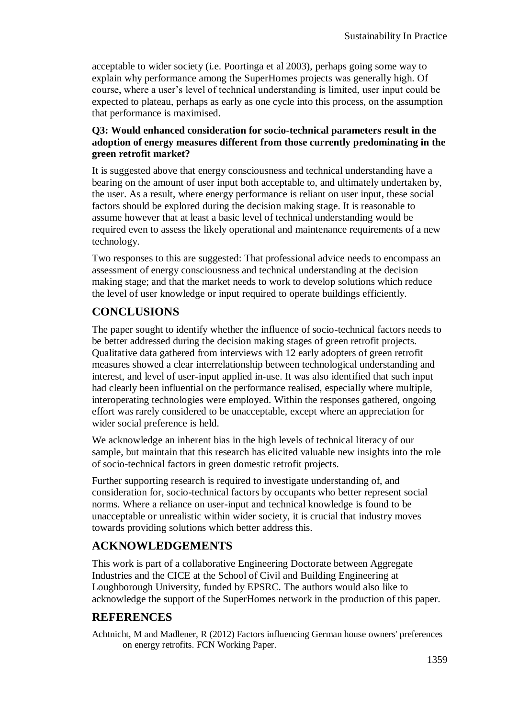acceptable to wider society (i.e. Poortinga et al 2003), perhaps going some way to explain why performance among the SuperHomes projects was generally high. Of course, where a user's level of technical understanding is limited, user input could be expected to plateau, perhaps as early as one cycle into this process, on the assumption that performance is maximised.

## **Q3: Would enhanced consideration for socio-technical parameters result in the adoption of energy measures different from those currently predominating in the green retrofit market?**

It is suggested above that energy consciousness and technical understanding have a bearing on the amount of user input both acceptable to, and ultimately undertaken by, the user. As a result, where energy performance is reliant on user input, these social factors should be explored during the decision making stage. It is reasonable to assume however that at least a basic level of technical understanding would be required even to assess the likely operational and maintenance requirements of a new technology.

Two responses to this are suggested: That professional advice needs to encompass an assessment of energy consciousness and technical understanding at the decision making stage; and that the market needs to work to develop solutions which reduce the level of user knowledge or input required to operate buildings efficiently.

# **CONCLUSIONS**

The paper sought to identify whether the influence of socio-technical factors needs to be better addressed during the decision making stages of green retrofit projects. Qualitative data gathered from interviews with 12 early adopters of green retrofit measures showed a clear interrelationship between technological understanding and interest, and level of user-input applied in-use. It was also identified that such input had clearly been influential on the performance realised, especially where multiple, interoperating technologies were employed. Within the responses gathered, ongoing effort was rarely considered to be unacceptable, except where an appreciation for wider social preference is held.

We acknowledge an inherent bias in the high levels of technical literacy of our sample, but maintain that this research has elicited valuable new insights into the role of socio-technical factors in green domestic retrofit projects.

Further supporting research is required to investigate understanding of, and consideration for, socio-technical factors by occupants who better represent social norms. Where a reliance on user-input and technical knowledge is found to be unacceptable or unrealistic within wider society, it is crucial that industry moves towards providing solutions which better address this.

## **ACKNOWLEDGEMENTS**

This work is part of a collaborative Engineering Doctorate between Aggregate Industries and the CICE at the School of Civil and Building Engineering at Loughborough University, funded by EPSRC. The authors would also like to acknowledge the support of the SuperHomes network in the production of this paper.

## **REFERENCES**

Achtnicht, M and Madlener, R (2012) Factors influencing German house owners' preferences on energy retrofits. FCN Working Paper.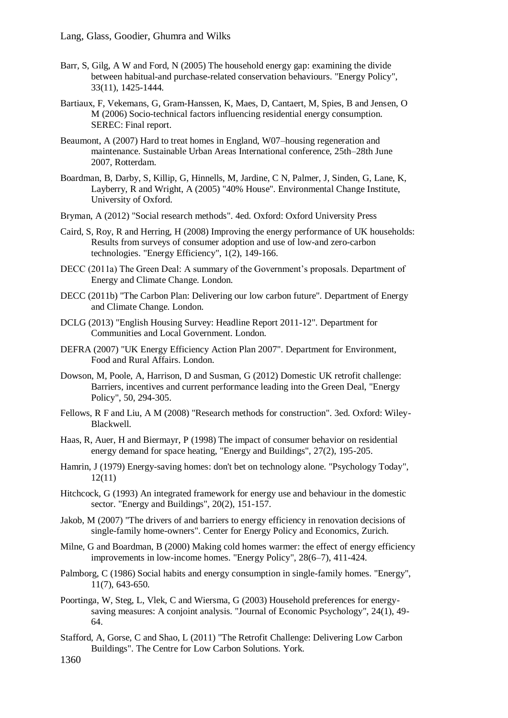- Barr, S, Gilg, A W and Ford, N (2005) The household energy gap: examining the divide between habitual-and purchase-related conservation behaviours. "Energy Policy", 33(11), 1425-1444.
- Bartiaux, F, Vekemans, G, Gram-Hanssen, K, Maes, D, Cantaert, M, Spies, B and Jensen, O M (2006) Socio-technical factors influencing residential energy consumption. SEREC: Final report.
- Beaumont, A (2007) Hard to treat homes in England, W07–housing regeneration and maintenance. Sustainable Urban Areas International conference, 25th–28th June 2007, Rotterdam.
- Boardman, B, Darby, S, Killip, G, Hinnells, M, Jardine, C N, Palmer, J, Sinden, G, Lane, K, Layberry, R and Wright, A (2005) "40% House". Environmental Change Institute, University of Oxford.
- Bryman, A (2012) "Social research methods". 4ed. Oxford: Oxford University Press
- Caird, S, Roy, R and Herring, H (2008) Improving the energy performance of UK households: Results from surveys of consumer adoption and use of low-and zero-carbon technologies. "Energy Efficiency", 1(2), 149-166.
- DECC (2011a) The Green Deal: A summary of the Government's proposals. Department of Energy and Climate Change. London.
- DECC (2011b) "The Carbon Plan: Delivering our low carbon future". Department of Energy and Climate Change. London.
- DCLG (2013) "English Housing Survey: Headline Report 2011-12". Department for Communities and Local Government. London.
- DEFRA (2007) "UK Energy Efficiency Action Plan 2007". Department for Environment, Food and Rural Affairs. London.
- Dowson, M, Poole, A, Harrison, D and Susman, G (2012) Domestic UK retrofit challenge: Barriers, incentives and current performance leading into the Green Deal, "Energy Policy", 50, 294-305.
- Fellows, R F and Liu, A M (2008) "Research methods for construction". 3ed. Oxford: Wiley-Blackwell.
- Haas, R, Auer, H and Biermayr, P (1998) The impact of consumer behavior on residential energy demand for space heating, "Energy and Buildings", 27(2), 195-205.
- Hamrin, J (1979) Energy-saving homes: don't bet on technology alone. "Psychology Today", 12(11)
- Hitchcock, G (1993) An integrated framework for energy use and behaviour in the domestic sector. "Energy and Buildings", 20(2), 151-157.
- Jakob, M (2007) "The drivers of and barriers to energy efficiency in renovation decisions of single-family home-owners". Center for Energy Policy and Economics, Zurich.
- Milne, G and Boardman, B (2000) Making cold homes warmer: the effect of energy efficiency improvements in low-income homes. "Energy Policy", 28(6–7), 411-424.
- Palmborg, C (1986) Social habits and energy consumption in single-family homes. "Energy", 11(7), 643-650.
- Poortinga, W, Steg, L, Vlek, C and Wiersma, G (2003) Household preferences for energysaving measures: A conjoint analysis. "Journal of Economic Psychology", 24(1), 49- 64.
- Stafford, A, Gorse, C and Shao, L (2011) "The Retrofit Challenge: Delivering Low Carbon Buildings". The Centre for Low Carbon Solutions. York.